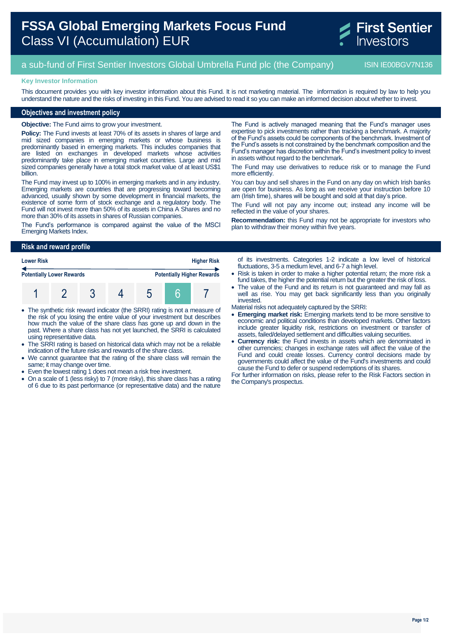# **FSSA Global Emerging Markets Focus Fund** Class VI (Accumulation) EUR



## a sub-fund of First Sentier Investors Global Umbrella Fund plc (the Company) ISIN IE00BGV7N136

#### **Key Investor Information**

This document provides you with key investor information about this Fund. It is not marketing material. The information is required by law to help you understand the nature and the risks of investing in this Fund. You are advised to read it so you can make an informed decision about whether to invest.

#### **Objectives and investment policy**

**Objective:** The Fund aims to grow your investment.

**Policy:** The Fund invests at least 70% of its assets in shares of large and mid sized companies in emerging markets or whose business is predominantly based in emerging markets. This includes companies that are listed on exchanges in developed markets whose activities predominantly take place in emerging market countries. Large and mid sized companies generally have a total stock market value of at least US\$1 billion.

The Fund may invest up to 100% in emerging markets and in any industry. Emerging markets are countries that are progressing toward becoming advanced, usually shown by some development in financial markets, the existence of some form of stock exchange and a regulatory body. The Fund will not invest more than 50% of its assets in China A Shares and no more than 30% of its assets in shares of Russian companies.

The Fund's performance is compared against the value of the MSCI Emerging Markets Index.

The Fund is actively managed meaning that the Fund's manager uses expertise to pick investments rather than tracking a benchmark. A majority of the Fund's assets could be components of the benchmark. Investment of the Fund's assets is not constrained by the benchmark composition and the Fund's manager has discretion within the Fund's investment policy to invest in assets without regard to the benchmark.

The Fund may use derivatives to reduce risk or to manage the Fund more efficiently.

You can buy and sell shares in the Fund on any day on which Irish banks are open for business. As long as we receive your instruction before 10 am (Irish time), shares will be bought and sold at that day's price.

The Fund will not pay any income out; instead any income will be reflected in the value of your shares.

**Recommendation:** this Fund may not be appropriate for investors who plan to withdraw their money within five years.

#### **Risk and reward profile**

| <b>Lower Risk</b>                |  |  |  | <b>Higher Risk</b> |                                   |  |
|----------------------------------|--|--|--|--------------------|-----------------------------------|--|
| <b>Potentially Lower Rewards</b> |  |  |  |                    | <b>Potentially Higher Rewards</b> |  |
|                                  |  |  |  |                    |                                   |  |

- The synthetic risk reward indicator (the SRRI) rating is not a measure of the risk of you losing the entire value of your investment but describes how much the value of the share class has gone up and down in the past. Where a share class has not yet launched, the SRRI is calculated using representative data.
- The SRRI rating is based on historical data which may not be a reliable indication of the future risks and rewards of the share class.
- We cannot guarantee that the rating of the share class will remain the same; it may change over time.
- Even the lowest rating 1 does not mean a risk free investment.
- On a scale of 1 (less risky) to 7 (more risky), this share class has a rating of 6 due to its past performance (or representative data) and the nature

of its investments. Categories 1-2 indicate a low level of historical fluctuations, 3-5 a medium level, and 6-7 a high level.

- Risk is taken in order to make a higher potential return; the more risk a fund takes, the higher the potential return but the greater the risk of loss.
- The value of the Fund and its return is not guaranteed and may fall as well as rise. You may get back significantly less than you originally invested.

Material risks not adequately captured by the SRRI:

- **Emerging market risk:** Emerging markets tend to be more sensitive to economic and political conditions than developed markets. Other factors include greater liquidity risk, restrictions on investment or transfer of assets, failed/delayed settlement and difficulties valuing securities.
- **Currency risk:** the Fund invests in assets which are denominated in other currencies; changes in exchange rates will affect the value of the Fund and could create losses. Currency control decisions made by governments could affect the value of the Fund's investments and could cause the Fund to defer or suspend redemptions of its shares.

For further information on risks, please refer to the Risk Factors section in the Company's prospectus.